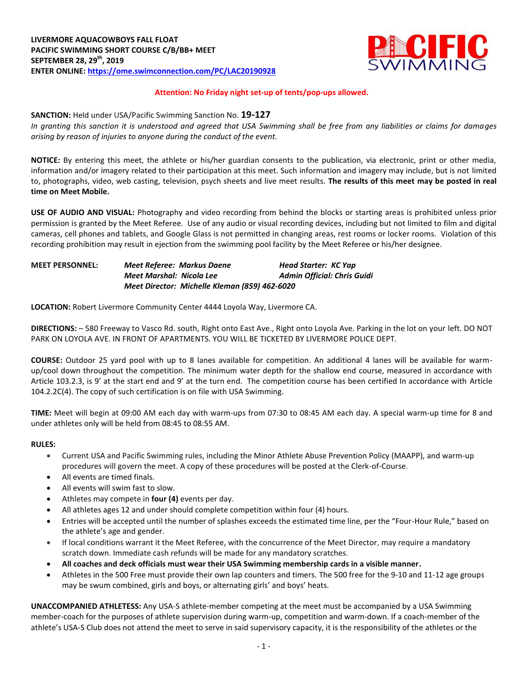

## **Attention: No Friday night set-up of tents/pop-ups allowed.**

#### **SANCTION:** Held under USA/Pacific Swimming Sanction No. **19-127**

*In granting this sanction it is understood and agreed that USA Swimming shall be free from any liabilities or claims for damages arising by reason of injuries to anyone during the conduct of the event.*

**NOTICE:** By entering this meet, the athlete or his/her guardian consents to the publication, via electronic, print or other media, information and/or imagery related to their participation at this meet. Such information and imagery may include, but is not limited to, photographs, video, web casting, television, psych sheets and live meet results. **The results of this meet may be posted in real time on Meet Mobile.**

**USE OF AUDIO AND VISUAL:** Photography and video recording from behind the blocks or starting areas is prohibited unless prior permission is granted by the Meet Referee. Use of any audio or visual recording devices, including but not limited to film and digital cameras, cell phones and tablets, and Google Glass is not permitted in changing areas, rest rooms or locker rooms. Violation of this recording prohibition may result in ejection from the swimming pool facility by the Meet Referee or his/her designee.

| <b>MEET PERSONNEL:</b> | Meet Referee: Markus Daene |                                               | Head Starter: KC Yap               |
|------------------------|----------------------------|-----------------------------------------------|------------------------------------|
|                        | Meet Marshal: Nicola Lee   |                                               | <b>Admin Official: Chris Guidi</b> |
|                        |                            | Meet Director: Michelle Kleman (859) 462-6020 |                                    |

**LOCATION:** Robert Livermore Community Center 4444 Loyola Way, Livermore CA.

**DIRECTIONS:** – 580 Freeway to Vasco Rd. south, Right onto East Ave., Right onto Loyola Ave. Parking in the lot on your left. DO NOT PARK ON LOYOLA AVE. IN FRONT OF APARTMENTS. YOU WILL BE TICKETED BY LIVERMORE POLICE DEPT.

**COURSE:** Outdoor 25 yard pool with up to 8 lanes available for competition. An additional 4 lanes will be available for warmup/cool down throughout the competition. The minimum water depth for the shallow end course, measured in accordance with Article 103.2.3, is 9' at the start end and 9' at the turn end. The competition course has been certified In accordance with Article 104.2.2C(4). The copy of such certification is on file with USA Swimming.

**TIME:** Meet will begin at 09:00 AM each day with warm-ups from 07:30 to 08:45 AM each day. A special warm-up time for 8 and under athletes only will be held from 08:45 to 08:55 AM.

#### **RULES:**

- Current USA and Pacific Swimming rules, including the Minor Athlete Abuse Prevention Policy (MAAPP), and warm-up procedures will govern the meet. A copy of these procedures will be posted at the Clerk-of-Course.
- All events are timed finals.
- All events will swim fast to slow.
- Athletes may compete in **four (4)** events per day.
- All athletes ages 12 and under should complete competition within four (4) hours.
- Entries will be accepted until the number of splashes exceeds the estimated time line, per the "Four-Hour Rule," based on the athlete's age and gender.
- If local conditions warrant it the Meet Referee, with the concurrence of the Meet Director, may require a mandatory scratch down. Immediate cash refunds will be made for any mandatory scratches.
- **All coaches and deck officials must wear their USA Swimming membership cards in a visible manner.**
- Athletes in the 500 Free must provide their own lap counters and timers. The 500 free for the 9-10 and 11-12 age groups may be swum combined, girls and boys, or alternating girls' and boys' heats.

**UNACCOMPANIED ATHLETESS:** Any USA-S athlete-member competing at the meet must be accompanied by a USA Swimming member-coach for the purposes of athlete supervision during warm-up, competition and warm-down. If a coach-member of the athlete's USA-S Club does not attend the meet to serve in said supervisory capacity, it is the responsibility of the athletes or the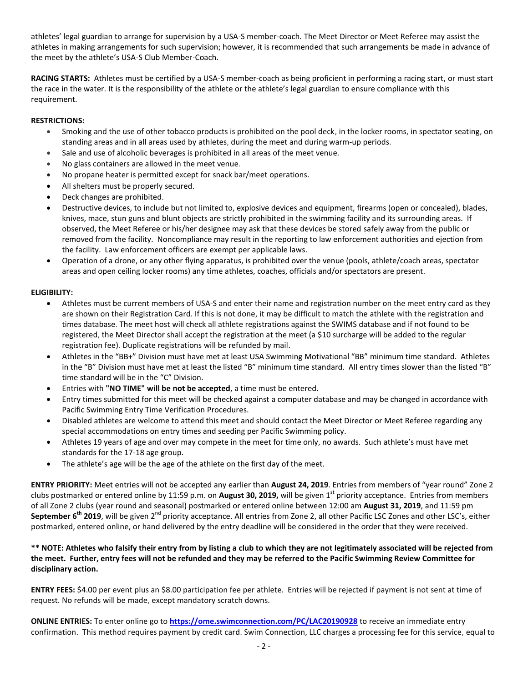athletes' legal guardian to arrange for supervision by a USA-S member-coach. The Meet Director or Meet Referee may assist the athletes in making arrangements for such supervision; however, it is recommended that such arrangements be made in advance of the meet by the athlete's USA-S Club Member-Coach.

**RACING STARTS:** Athletes must be certified by a USA-S member-coach as being proficient in performing a racing start, or must start the race in the water. It is the responsibility of the athlete or the athlete's legal guardian to ensure compliance with this requirement.

# **RESTRICTIONS:**

- Smoking and the use of other tobacco products is prohibited on the pool deck, in the locker rooms, in spectator seating, on standing areas and in all areas used by athletes, during the meet and during warm-up periods.
- Sale and use of alcoholic beverages is prohibited in all areas of the meet venue.
- No glass containers are allowed in the meet venue.
- No propane heater is permitted except for snack bar/meet operations.
- All shelters must be properly secured.
- Deck changes are prohibited.
- Destructive devices, to include but not limited to, explosive devices and equipment, firearms (open or concealed), blades, knives, mace, stun guns and blunt objects are strictly prohibited in the swimming facility and its surrounding areas. If observed, the Meet Referee or his/her designee may ask that these devices be stored safely away from the public or removed from the facility. Noncompliance may result in the reporting to law enforcement authorities and ejection from the facility. Law enforcement officers are exempt per applicable laws.
- Operation of a drone, or any other flying apparatus, is prohibited over the venue (pools, athlete/coach areas, spectator areas and open ceiling locker rooms) any time athletes, coaches, officials and/or spectators are present.

## **ELIGIBILITY:**

- Athletes must be current members of USA-S and enter their name and registration number on the meet entry card as they are shown on their Registration Card. If this is not done, it may be difficult to match the athlete with the registration and times database. The meet host will check all athlete registrations against the SWIMS database and if not found to be registered, the Meet Director shall accept the registration at the meet (a \$10 surcharge will be added to the regular registration fee). Duplicate registrations will be refunded by mail.
- Athletes in the "BB+" Division must have met at least USA Swimming Motivational "BB" minimum time standard. Athletes in the "B" Division must have met at least the listed "B" minimum time standard. All entry times slower than the listed "B" time standard will be in the "C" Division.
- Entries with **"NO TIME" will be not be accepted**, a time must be entered.
- Entry times submitted for this meet will be checked against a computer database and may be changed in accordance with Pacific Swimming Entry Time Verification Procedures.
- Disabled athletes are welcome to attend this meet and should contact the Meet Director or Meet Referee regarding any special accommodations on entry times and seeding per Pacific Swimming policy.
- Athletes 19 years of age and over may compete in the meet for time only, no awards. Such athlete's must have met standards for the 17-18 age group.
- The athlete's age will be the age of the athlete on the first day of the meet.

**ENTRY PRIORITY:** Meet entries will not be accepted any earlier than **August 24, 2019**. Entries from members of "year round" Zone 2 clubs postmarked or entered online by 11:59 p.m. on **August 30, 2019,** will be given 1st priority acceptance. Entries from members of all Zone 2 clubs (year round and seasonal) postmarked or entered online between 12:00 am **August 31, 2019**, and 11:59 pm **September 6<sup>th</sup> 2019**, will be given 2<sup>nd</sup> priority acceptance. All entries from Zone 2, all other Pacific LSC Zones and other LSC's, either postmarked, entered online, or hand delivered by the entry deadline will be considered in the order that they were received.

## **\*\* NOTE: Athletes who falsify their entry from by listing a club to which they are not legitimately associated will be rejected from the meet. Further, entry fees will not be refunded and they may be referred to the Pacific Swimming Review Committee for disciplinary action.**

**ENTRY FEES:** \$4.00 per event plus an \$8.00 participation fee per athlete. Entries will be rejected if payment is not sent at time of request. No refunds will be made, except mandatory scratch downs.

**ONLINE ENTRIES:** To enter online go to **<https://ome.swimconnection.com/PC/LAC20190928>** to receive an immediate entry confirmation. This method requires payment by credit card. Swim Connection, LLC charges a processing fee for this service, equal to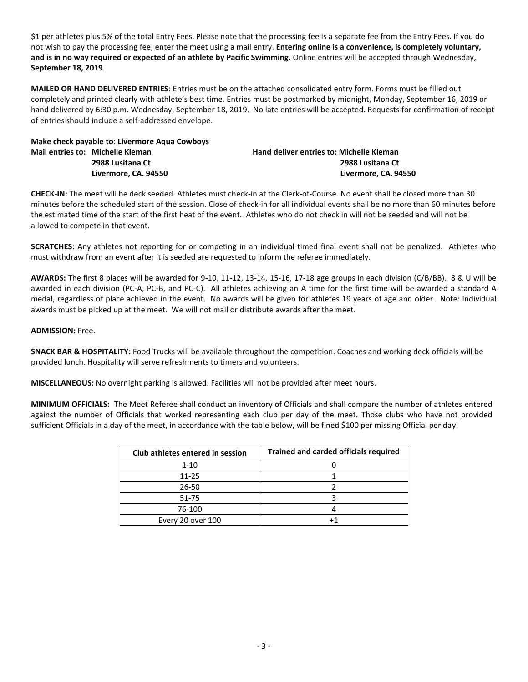\$1 per athletes plus 5% of the total Entry Fees. Please note that the processing fee is a separate fee from the Entry Fees. If you do not wish to pay the processing fee, enter the meet using a mail entry. **Entering online is a convenience, is completely voluntary, and is in no way required or expected of an athlete by Pacific Swimming.** Online entries will be accepted through Wednesday, **September 18, 2019**.

**MAILED OR HAND DELIVERED ENTRIES**: Entries must be on the attached consolidated entry form. Forms must be filled out completely and printed clearly with athlete's best time. Entries must be postmarked by midnight, Monday, September 16, 2019 or hand delivered by 6:30 p.m. Wednesday, September 18, 2019. No late entries will be accepted. Requests for confirmation of receipt of entries should include a self-addressed envelope.

**Make check payable to**: **Livermore Aqua Cowboys Mail entries to: Michelle Kleman Hand deliver entries to: Michelle Kleman**

**2988 Lusitana Ct 2988 Lusitana Ct Livermore, CA. 94550 Livermore, CA. 94550**

**CHECK-IN:** The meet will be deck seeded. Athletes must check-in at the Clerk-of-Course. No event shall be closed more than 30 minutes before the scheduled start of the session. Close of check-in for all individual events shall be no more than 60 minutes before the estimated time of the start of the first heat of the event. Athletes who do not check in will not be seeded and will not be allowed to compete in that event.

**SCRATCHES:** Any athletes not reporting for or competing in an individual timed final event shall not be penalized. Athletes who must withdraw from an event after it is seeded are requested to inform the referee immediately.

**AWARDS:** The first 8 places will be awarded for 9-10, 11-12, 13-14, 15-16, 17-18 age groups in each division (C/B/BB). 8 & U will be awarded in each division (PC-A, PC-B, and PC-C). All athletes achieving an A time for the first time will be awarded a standard A medal, regardless of place achieved in the event. No awards will be given for athletes 19 years of age and older. Note: Individual awards must be picked up at the meet. We will not mail or distribute awards after the meet.

## **ADMISSION:** Free.

**SNACK BAR & HOSPITALITY:** Food Trucks will be available throughout the competition. Coaches and working deck officials will be provided lunch. Hospitality will serve refreshments to timers and volunteers.

**MISCELLANEOUS:** No overnight parking is allowed. Facilities will not be provided after meet hours.

**MINIMUM OFFICIALS:** The Meet Referee shall conduct an inventory of Officials and shall compare the number of athletes entered against the number of Officials that worked representing each club per day of the meet. Those clubs who have not provided sufficient Officials in a day of the meet, in accordance with the table below, will be fined \$100 per missing Official per day.

| Club athletes entered in session | <b>Trained and carded officials required</b> |
|----------------------------------|----------------------------------------------|
| $1 - 10$                         |                                              |
| $11 - 25$                        |                                              |
| 26-50                            |                                              |
| 51-75                            |                                              |
| 76-100                           |                                              |
| Every 20 over 100                |                                              |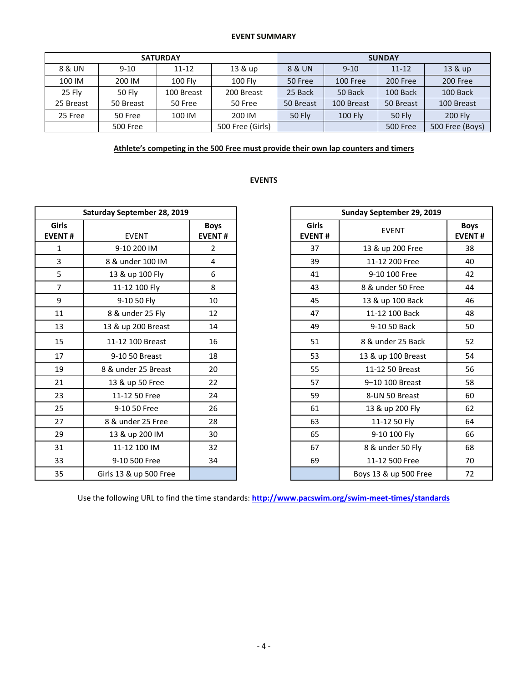#### **EVENT SUMMARY**

|           |           | <b>SATURDAY</b> |                  | <b>SUNDAY</b> |                |                 |                 |  |
|-----------|-----------|-----------------|------------------|---------------|----------------|-----------------|-----------------|--|
| 8 & UN    | $9 - 10$  | $11 - 12$       | 13 & up          | 8 & UN        | $9 - 10$       |                 | 13 & up         |  |
| 100 IM    | 200 IM    | <b>100 Fly</b>  | 100 Fly          | 50 Free       | 100 Free       | 200 Free        | 200 Free        |  |
| 25 Fly    | 50 Fly    | 100 Breast      | 200 Breast       | 25 Back       | 50 Back        | 100 Back        | 100 Back        |  |
| 25 Breast | 50 Breast | 50 Free         | 50 Free          | 50 Breast     | 100 Breast     | 50 Breast       | 100 Breast      |  |
| 25 Free   | 50 Free   | 100 IM          | 200 IM           | <b>50 Fly</b> | <b>100 Fly</b> | 50 Fly          | 200 Fly         |  |
|           | 500 Free  |                 | 500 Free (Girls) |               |                | <b>500 Free</b> | 500 Free (Boys) |  |

## **Athlete's competing in the 500 Free must provide their own lap counters and timers**

# **EVENTS**

|                        | Saturday September 28, 2019 |                              | Sunday September 29, 2019     |                       |                    |  |  |
|------------------------|-----------------------------|------------------------------|-------------------------------|-----------------------|--------------------|--|--|
| Girls<br><b>EVENT#</b> | <b>EVENT</b>                | <b>Boys</b><br><b>EVENT#</b> | <b>Girls</b><br><b>EVENT#</b> | <b>EVENT</b>          | Boy<br><b>EVEN</b> |  |  |
| $\mathbf{1}$           | 9-10 200 IM                 | $\overline{2}$               | 37                            | 13 & up 200 Free      | 38                 |  |  |
| 3                      | 8 & under 100 IM            | 4                            | 39                            | 11-12 200 Free        | 40                 |  |  |
| 5                      | 13 & up 100 Fly             | 6                            | 41                            | 9-10 100 Free         | 42                 |  |  |
| $\overline{7}$         | 11-12 100 Fly               | 8                            | 43                            | 8 & under 50 Free     | 44                 |  |  |
| 9                      | 9-10 50 Fly                 | 10                           | 45                            | 13 & up 100 Back      | 46                 |  |  |
| 11                     | 8 & under 25 Fly            | 12                           | 47                            | 11-12 100 Back        | 48                 |  |  |
| 13                     | 13 & up 200 Breast          | 14                           | 49                            | 9-10 50 Back          | 50                 |  |  |
| 15                     | 11-12 100 Breast            | 16                           | 51                            | 8 & under 25 Back     | 52                 |  |  |
| 17                     | 9-10 50 Breast              | 18                           | 53                            | 13 & up 100 Breast    | 54                 |  |  |
| 19                     | 8 & under 25 Breast         | 20                           | 55                            | 11-12 50 Breast       | 56                 |  |  |
| 21                     | 13 & up 50 Free             | 22                           | 57                            | 9-10 100 Breast       | 58                 |  |  |
| 23                     | 11-12 50 Free               | 24                           | 59                            | 8-UN 50 Breast        | 60                 |  |  |
| 25                     | 9-10 50 Free                | 26                           | 61                            | 13 & up 200 Fly       | 62                 |  |  |
| 27                     | 8 & under 25 Free           | 28                           | 63                            | 11-12 50 Fly          | 64                 |  |  |
| 29                     | 13 & up 200 IM              | 30                           | 65                            | 9-10 100 Fly          | 66                 |  |  |
| 31                     | 11-12 100 IM                | 32                           | 67                            | 8 & under 50 Fly      | 68                 |  |  |
| 33                     | 9-10 500 Free               | 34                           | 69                            | 11-12 500 Free        | 70                 |  |  |
| 35                     | Girls 13 & up 500 Free      |                              |                               | Boys 13 & up 500 Free | 72                 |  |  |

| Saturday September 28, 2019 |                        |                              |
|-----------------------------|------------------------|------------------------------|
| iirls<br>ENT#               | <b>EVENT</b>           | <b>Boys</b><br><b>EVENT#</b> |
| $\mathbf{1}$                | 9-10 200 IM            | $\overline{2}$               |
| $\overline{\mathbf{3}}$     | 8 & under 100 IM       | 4                            |
| 5                           | 13 & up 100 Fly        | 6                            |
| $\overline{7}$              | 11-12 100 Fly          | 8                            |
| $\overline{9}$              | 9-10 50 Fly            | 10                           |
| 11                          | 8 & under 25 Fly       | 12                           |
| 13                          | 13 & up 200 Breast     | 14                           |
| 15                          | 11-12 100 Breast       | 16                           |
| 17                          | 9-10 50 Breast         | 18                           |
| 19                          | 8 & under 25 Breast    | 20                           |
| 21                          | 13 & up 50 Free        | 22                           |
| 23                          | 11-12 50 Free          | 24                           |
| 25                          | 9-10 50 Free           | 26                           |
| 27                          | 8 & under 25 Free      | 28                           |
| 29                          | 13 & up 200 IM         | 30                           |
| 31                          | 11-12 100 IM           | 32                           |
| 33                          | 9-10 500 Free          | 34                           |
| 35                          | Girls 13 & up 500 Free |                              |

Use the following URL to find the time standards: **<http://www.pacswim.org/swim-meet-times/standards>**